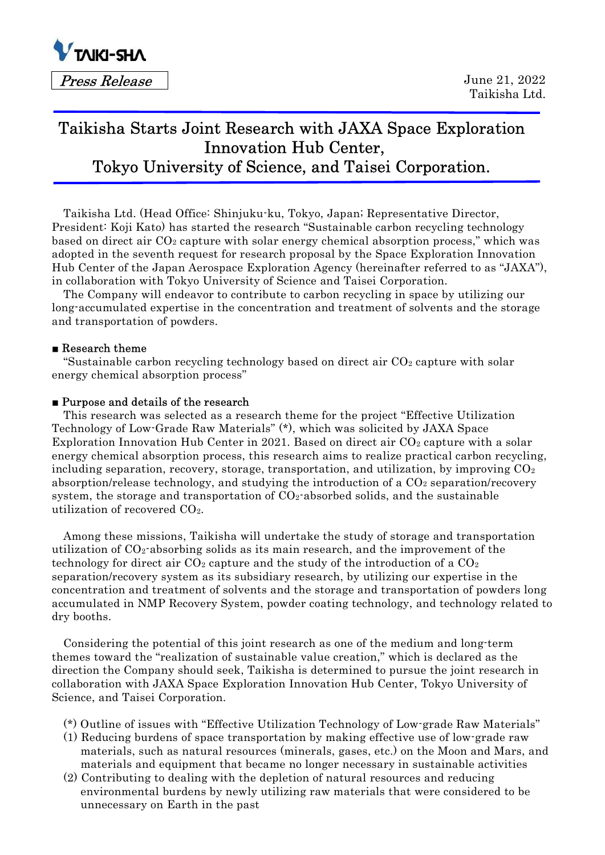

# Taikisha Starts Joint Research with JAXA Space Exploration Innovation Hub Center, Tokyo University of Science, and Taisei Corporation.

Taikisha Ltd. (Head Office: Shinjuku-ku, Tokyo, Japan; Representative Director, President: Koji Kato) has started the research "Sustainable carbon recycling technology based on direct air  $CO<sub>2</sub>$  capture with solar energy chemical absorption process," which was adopted in the seventh request for research proposal by the Space Exploration Innovation Hub Center of the Japan Aerospace Exploration Agency (hereinafter referred to as "JAXA"), in collaboration with Tokyo University of Science and Taisei Corporation.

The Company will endeavor to contribute to carbon recycling in space by utilizing our long-accumulated expertise in the concentration and treatment of solvents and the storage and transportation of powders.

### ■ Research theme

"Sustainable carbon recycling technology based on direct air  $CO<sub>2</sub>$  capture with solar energy chemical absorption process"

#### ■ Purpose and details of the research

This research was selected as a research theme for the project "Effective Utilization Technology of Low-Grade Raw Materials" (\*), which was solicited by JAXA Space Exploration Innovation Hub Center in 2021. Based on direct air  $CO<sub>2</sub>$  capture with a solar energy chemical absorption process, this research aims to realize practical carbon recycling, including separation, recovery, storage, transportation, and utilization, by improving  $CO<sub>2</sub>$ absorption/release technology, and studying the introduction of a  $CO<sub>2</sub>$  separation/recovery system, the storage and transportation of  $CO<sub>2</sub>$ -absorbed solids, and the sustainable utilization of recovered CO2.

Among these missions, Taikisha will undertake the study of storage and transportation utilization of  $CO<sub>2</sub>$ -absorbing solids as its main research, and the improvement of the technology for direct air  $CO_2$  capture and the study of the introduction of a  $CO_2$ separation/recovery system as its subsidiary research, by utilizing our expertise in the concentration and treatment of solvents and the storage and transportation of powders long accumulated in NMP Recovery System, powder coating technology, and technology related to dry booths.

Considering the potential of this joint research as one of the medium and long-term themes toward the "realization of sustainable value creation," which is declared as the direction the Company should seek, Taikisha is determined to pursue the joint research in collaboration with JAXA Space Exploration Innovation Hub Center, Tokyo University of Science, and Taisei Corporation.

- (\*) Outline of issues with "Effective Utilization Technology of Low-grade Raw Materials"
- (1) Reducing burdens of space transportation by making effective use of low-grade raw materials, such as natural resources (minerals, gases, etc.) on the Moon and Mars, and materials and equipment that became no longer necessary in sustainable activities
- (2) Contributing to dealing with the depletion of natural resources and reducing environmental burdens by newly utilizing raw materials that were considered to be unnecessary on Earth in the past